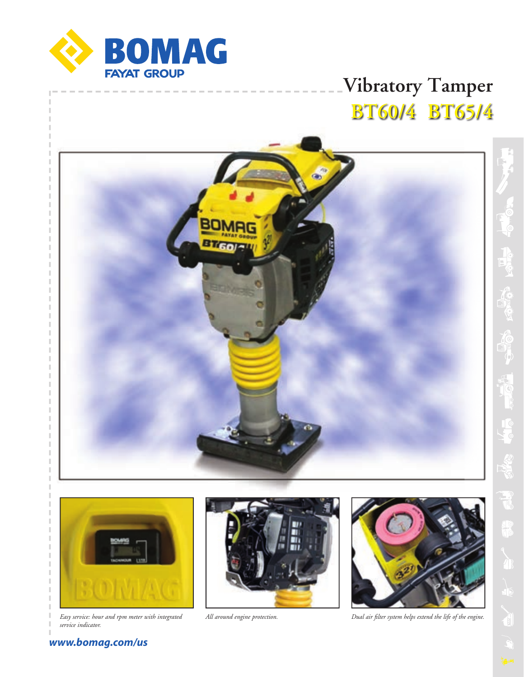

# **Vibratory Tamper BT60/4 BT65/4**





*Easy service: hour and rpm meter with integrated All around engine protection. service indicator.*





*Dual air filter system helps extend the life of the engine.* 

### *www.bomag.com/us*